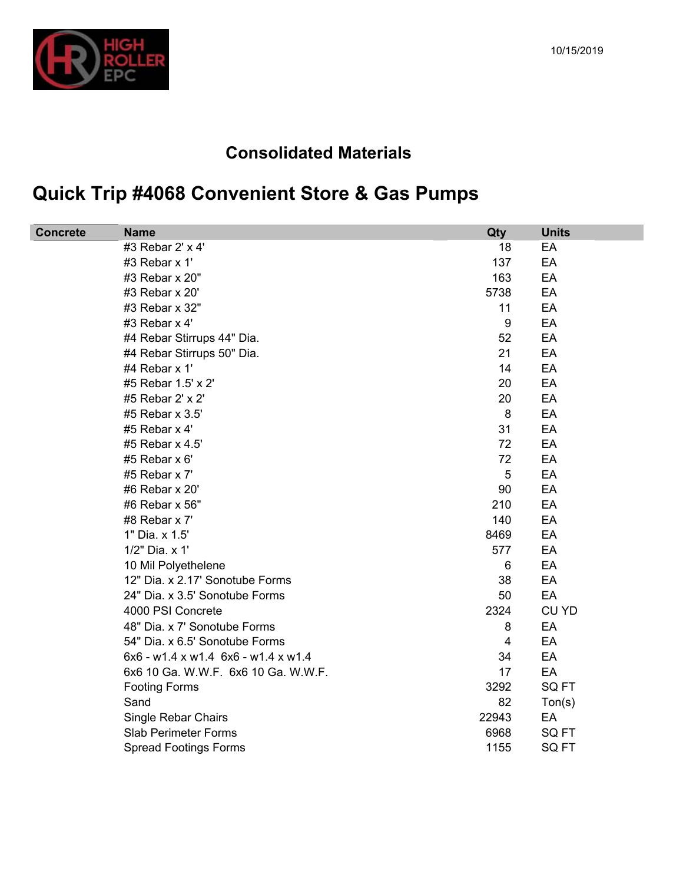

## 10/15/2019

## **Consolidated Materials**

## **Quick Trip #4068 Convenient Store & Gas Pumps**

| <b>Concrete</b><br><b>Name</b>        | Qty              | <b>Units</b>        |
|---------------------------------------|------------------|---------------------|
| #3 Rebar 2' x 4'                      | 18               | EA                  |
| #3 Rebar x 1'                         | 137              | EA                  |
| #3 Rebar x 20"                        | 163              | EA                  |
| #3 Rebar x 20'                        | 5738             | EA                  |
| #3 Rebar x 32"                        | 11               | EA                  |
| #3 Rebar x 4'                         | $\boldsymbol{9}$ | EA                  |
| #4 Rebar Stirrups 44" Dia.            | 52               | EA                  |
| #4 Rebar Stirrups 50" Dia.            | 21               | EA                  |
| #4 Rebar x 1'                         | 14               | EA                  |
| #5 Rebar 1.5' x 2'                    | 20               | EA                  |
| #5 Rebar 2' x 2'                      | 20               | EA                  |
| #5 Rebar x 3.5'                       | 8                | EA                  |
| #5 Rebar x 4'                         | 31               | EA                  |
| #5 Rebar x 4.5'                       | 72               | EA                  |
| #5 Rebar $x 6'$                       | 72               | EA                  |
| #5 Rebar x 7'                         | 5                | EA                  |
| #6 Rebar x 20'                        | 90               | EA                  |
| #6 Rebar x 56"                        | 210              | EA                  |
| #8 Rebar x 7'                         | 140              | EA                  |
| 1" Dia. x 1.5'                        | 8469             | EA                  |
| 1/2" Dia. x 1'                        | 577              | EA                  |
| 10 Mil Polyethelene                   | $6\phantom{1}6$  | EA                  |
| 12" Dia. x 2.17' Sonotube Forms       | 38               | EA                  |
| 24" Dia. x 3.5' Sonotube Forms        | 50               | EA                  |
| 4000 PSI Concrete                     | 2324             | <b>CU YD</b>        |
| 48" Dia. x 7' Sonotube Forms          | 8                | EA                  |
| 54" Dia. x 6.5' Sonotube Forms        | 4                | EA                  |
| $6x6 - w1.4 x w1.4 6x6 - w1.4 x w1.4$ | 34               | EA                  |
| 6x6 10 Ga. W.W.F. 6x6 10 Ga. W.W.F.   | 17               | EA                  |
| <b>Footing Forms</b>                  | 3292             | SQ FT               |
| Sand                                  | 82               | T <sub>on</sub> (s) |
| <b>Single Rebar Chairs</b>            | 22943            | EA                  |
| <b>Slab Perimeter Forms</b>           | 6968             | SQ FT               |
| <b>Spread Footings Forms</b>          | 1155             | SQ FT               |